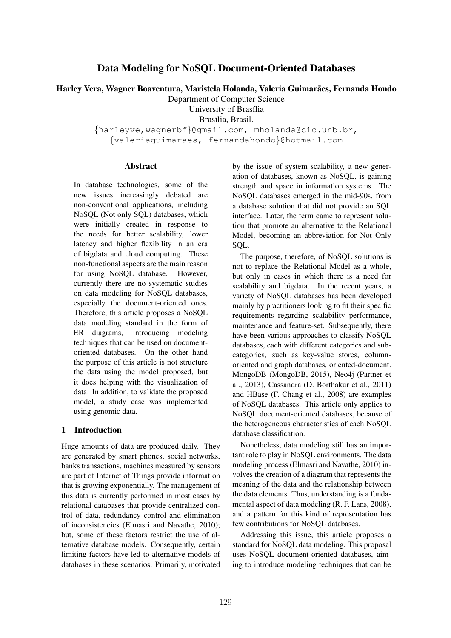# Data Modeling for NoSQL Document-Oriented Databases

Harley Vera, Wagner Boaventura, Maristela Holanda, Valeria Guimarães, Fernanda Hondo

Department of Computer Science

University of Brasília

Brasília, Brasil.

*{*harleyve,wagnerbf*}*@gmail.com, mholanda@cic.unb.br,

*{*valeriaguimaraes, fernandahondo*}*@hotmail.com

### Abstract

In database technologies, some of the new issues increasingly debated are non-conventional applications, including NoSQL (Not only SQL) databases, which were initially created in response to the needs for better scalability, lower latency and higher flexibility in an era of bigdata and cloud computing. These non-functional aspects are the main reason for using NoSQL database. However, currently there are no systematic studies on data modeling for NoSQL databases, especially the document-oriented ones. Therefore, this article proposes a NoSQL data modeling standard in the form of ER diagrams, introducing modeling techniques that can be used on documentoriented databases. On the other hand the purpose of this article is not structure the data using the model proposed, but it does helping with the visualization of data. In addition, to validate the proposed model, a study case was implemented using genomic data.

### 1 Introduction

Huge amounts of data are produced daily. They are generated by smart phones, social networks, banks transactions, machines measured by sensors are part of Internet of Things provide information that is growing exponentially. The management of this data is currently performed in most cases by relational databases that provide centralized control of data, redundancy control and elimination of inconsistencies (Elmasri and Navathe, 2010); but, some of these factors restrict the use of alternative database models. Consequently, certain limiting factors have led to alternative models of databases in these scenarios. Primarily, motivated

by the issue of system scalability, a new generation of databases, known as NoSQL, is gaining strength and space in information systems. The NoSQL databases emerged in the mid-90s, from a database solution that did not provide an SQL interface. Later, the term came to represent solution that promote an alternative to the Relational Model, becoming an abbreviation for Not Only SOL.

The purpose, therefore, of NoSQL solutions is not to replace the Relational Model as a whole, but only in cases in which there is a need for scalability and bigdata. In the recent years, a variety of NoSQL databases has been developed mainly by practitioners looking to fit their specific requirements regarding scalability performance, maintenance and feature-set. Subsequently, there have been various approaches to classify NoSQL databases, each with different categories and subcategories, such as key-value stores, columnoriented and graph databases, oriented-document. MongoDB (MongoDB, 2015), Neo4j (Partner et al., 2013), Cassandra (D. Borthakur et al., 2011) and HBase (F. Chang et al., 2008) are examples of NoSQL databases. This article only applies to NoSQL document-oriented databases, because of the heterogeneous characteristics of each NoSQL database classification.

Nonetheless, data modeling still has an important role to play in NoSQL environments. The data modeling process (Elmasri and Navathe, 2010) involves the creation of a diagram that represents the meaning of the data and the relationship between the data elements. Thus, understanding is a fundamental aspect of data modeling (R. F. Lans, 2008), and a pattern for this kind of representation has few contributions for NoSQL databases.

Addressing this issue, this article proposes a standard for NoSQL data modeling. This proposal uses NoSQL document-oriented databases, aiming to introduce modeling techniques that can be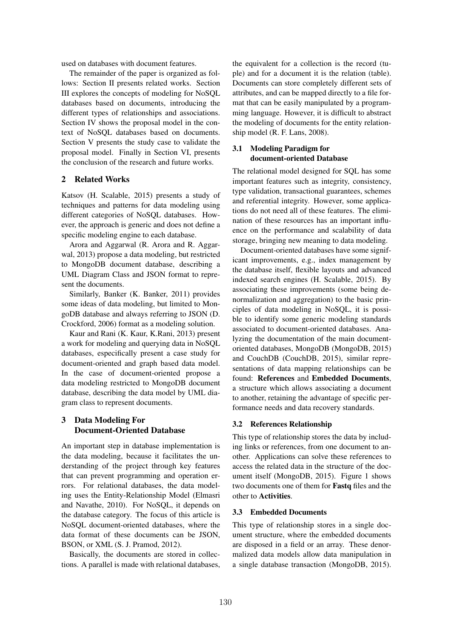used on databases with document features.

The remainder of the paper is organized as follows: Section II presents related works. Section III explores the concepts of modeling for NoSQL databases based on documents, introducing the different types of relationships and associations. Section IV shows the proposal model in the context of NoSQL databases based on documents. Section V presents the study case to validate the proposal model. Finally in Section VI, presents the conclusion of the research and future works.

# 2 Related Works

Katsov (H. Scalable, 2015) presents a study of techniques and patterns for data modeling using different categories of NoSQL databases. However, the approach is generic and does not define a specific modeling engine to each database.

Arora and Aggarwal (R. Arora and R. Aggarwal, 2013) propose a data modeling, but restricted to MongoDB document database, describing a UML Diagram Class and JSON format to represent the documents.

Similarly, Banker (K. Banker, 2011) provides some ideas of data modeling, but limited to MongoDB database and always referring to JSON (D. Crockford, 2006) format as a modeling solution.

Kaur and Rani (K. Kaur, K.Rani, 2013) present a work for modeling and querying data in NoSQL databases, especifically present a case study for document-oriented and graph based data model. In the case of document-oriented propose a data modeling restricted to MongoDB document database, describing the data model by UML diagram class to represent documents.

# 3 Data Modeling For Document-Oriented Database

An important step in database implementation is the data modeling, because it facilitates the understanding of the project through key features that can prevent programming and operation errors. For relational databases, the data modeling uses the Entity-Relationship Model (Elmasri and Navathe, 2010). For NoSQL, it depends on the database category. The focus of this article is NoSQL document-oriented databases, where the data format of these documents can be JSON, BSON, or XML (S. J. Pramod, 2012).

Basically, the documents are stored in collections. A parallel is made with relational databases, the equivalent for a collection is the record (tuple) and for a document it is the relation (table). Documents can store completely different sets of attributes, and can be mapped directly to a file format that can be easily manipulated by a programming language. However, it is difficult to abstract the modeling of documents for the entity relationship model (R. F. Lans, 2008).

### 3.1 Modeling Paradigm for document-oriented Database

The relational model designed for SQL has some important features such as integrity, consistency, type validation, transactional guarantees, schemes and referential integrity. However, some applications do not need all of these features. The elimination of these resources has an important influence on the performance and scalability of data storage, bringing new meaning to data modeling.

Document-oriented databases have some significant improvements, e.g., index management by the database itself, flexible layouts and advanced indexed search engines (H. Scalable, 2015). By associating these improvements (some being denormalization and aggregation) to the basic principles of data modeling in NoSQL, it is possible to identify some generic modeling standards associated to document-oriented databases. Analyzing the documentation of the main documentoriented databases, MongoDB (MongoDB, 2015) and CouchDB (CouchDB, 2015), similar representations of data mapping relationships can be found: References and Embedded Documents, a structure which allows associating a document to another, retaining the advantage of specific performance needs and data recovery standards.

### 3.2 References Relationship

This type of relationship stores the data by including links or references, from one document to another. Applications can solve these references to access the related data in the structure of the document itself (MongoDB, 2015). Figure 1 shows two documents one of them for Fastq files and the other to Activities.

#### 3.3 Embedded Documents

This type of relationship stores in a single document structure, where the embedded documents are disposed in a field or an array. These denormalized data models allow data manipulation in a single database transaction (MongoDB, 2015).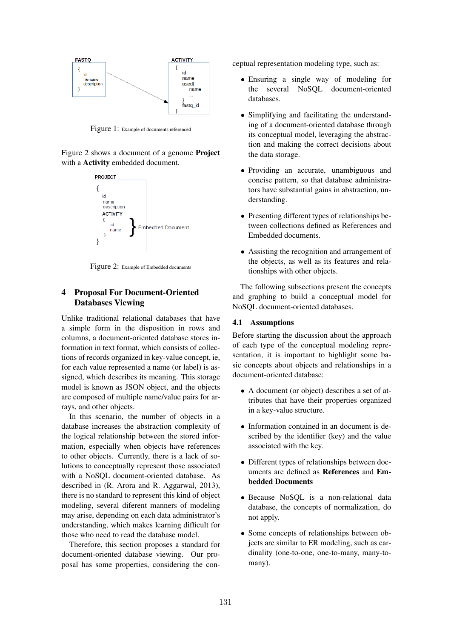

Figure 1: Example of documents referenced

Figure 2 shows a document of a genome Project with a Activity embedded document.



Figure 2: Example of Embedded documents

# 4 Proposal For Document-Oriented Databases Viewing

Unlike traditional relational databases that have a simple form in the disposition in rows and columns, a document-oriented database stores information in text format, which consists of collections of records organized in key-value concept, ie, for each value represented a name (or label) is assigned, which describes its meaning. This storage model is known as JSON object, and the objects are composed of multiple name/value pairs for arrays, and other objects.

In this scenario, the number of objects in a database increases the abstraction complexity of the logical relationship between the stored information, especially when objects have references to other objects. Currently, there is a lack of solutions to conceptually represent those associated with a NoSQL document-oriented database. As described in (R. Arora and R. Aggarwal, 2013), there is no standard to represent this kind of object modeling, several diferent manners of modeling may arise, depending on each data administrator's understanding, which makes learning difficult for those who need to read the database model.

Therefore, this section proposes a standard for document-oriented database viewing. Our proposal has some properties, considering the conceptual representation modeling type, such as:

- Ensuring a single way of modeling for<br>the several NoSOL document-oriented several NoSOL document-oriented databases.
- Simplifying and facilitating the understanding of a document-oriented database through its conceptual model, leveraging the abstraction and making the correct decisions about the data storage.
- *•* Providing an accurate, unambiguous and concise pattern, so that database administrators have substantial gains in abstraction, understanding.
- *•* Presenting different types of relationships between collections defined as References and Embedded documents.
- Assisting the recognition and arrangement of the objects, as well as its features and relationships with other objects.

The following subsections present the concepts and graphing to build a conceptual model for NoSQL document-oriented databases.

#### 4.1 Assumptions

Before starting the discussion about the approach of each type of the conceptual modeling representation, it is important to highlight some basic concepts about objects and relationships in a document-oriented database:

- A document (or object) describes a set of attributes that have their properties organized in a key-value structure.
- *•* Information contained in an document is described by the identifier (key) and the value associated with the key.
- Different types of relationships between documents are defined as References and Embedded Documents
- Because NoSOL is a non-relational data database, the concepts of normalization, do not apply.
- *•* Some concepts of relationships between objects are similar to ER modeling, such as cardinality (one-to-one, one-to-many, many-tomany).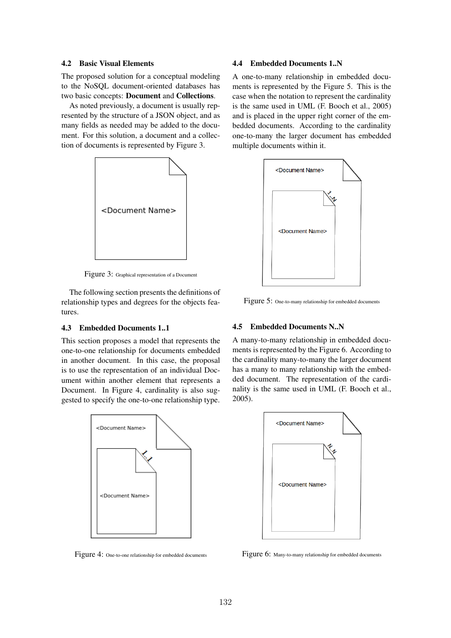### 4.2 Basic Visual Elements

The proposed solution for a conceptual modeling to the NoSQL document-oriented databases has two basic concepts: Document and Collections.

As noted previously, a document is usually represented by the structure of a JSON object, and as many fields as needed may be added to the document. For this solution, a document and a collection of documents is represented by Figure 3.



Figure 3: Graphical representation of a Document

The following section presents the definitions of relationship types and degrees for the objects features.

## 4.3 Embedded Documents 1..1

This section proposes a model that represents the one-to-one relationship for documents embedded in another document. In this case, the proposal is to use the representation of an individual Document within another element that represents a Document. In Figure 4, cardinality is also suggested to specify the one-to-one relationship type.



Figure 4: One-to-one relationship for embedded documents

#### 4.4 Embedded Documents 1..N

A one-to-many relationship in embedded documents is represented by the Figure 5. This is the case when the notation to represent the cardinality is the same used in UML (F. Booch et al., 2005) and is placed in the upper right corner of the embedded documents. According to the cardinality one-to-many the larger document has embedded multiple documents within it.



Figure 5: One-to-many relationship for embedded documents

### 4.5 Embedded Documents N..N

A many-to-many relationship in embedded documents is represented by the Figure 6. According to the cardinality many-to-many the larger document has a many to many relationship with the embedded document. The representation of the cardinality is the same used in UML (F. Booch et al., 2005).



Figure 6: Many-to-many relationship for embedded documents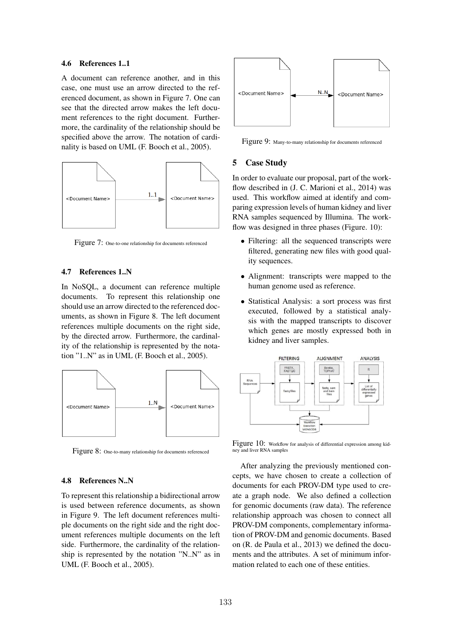#### 4.6 References 1..1

A document can reference another, and in this case, one must use an arrow directed to the referenced document, as shown in Figure 7. One can see that the directed arrow makes the left document references to the right document. Furthermore, the cardinality of the relationship should be specified above the arrow. The notation of cardinality is based on UML (F. Booch et al., 2005).



Figure 7: One-to-one relationship for documents referenced

### 4.7 References 1..N

In NoSQL, a document can reference multiple documents. To represent this relationship one should use an arrow directed to the referenced documents, as shown in Figure 8. The left document references multiple documents on the right side, by the directed arrow. Furthermore, the cardinality of the relationship is represented by the notation "1..N" as in UML (F. Booch et al., 2005).



Figure 8: One-to-many relationship for documents referenced

#### 4.8 References N..N

To represent this relationship a bidirectional arrow is used between reference documents, as shown in Figure 9. The left document references multiple documents on the right side and the right document references multiple documents on the left side. Furthermore, the cardinality of the relationship is represented by the notation "N..N" as in UML (F. Booch et al., 2005).



Figure 9: Many-to-many relationship for documents referenced

# 5 Case Study

In order to evaluate our proposal, part of the workflow described in (J. C. Marioni et al., 2014) was used. This workflow aimed at identify and comparing expression levels of human kidney and liver RNA samples sequenced by Illumina. The workflow was designed in three phases (Figure. 10):

- Filtering: all the sequenced transcripts were filtered, generating new files with good quality sequences.
- Alignment: transcripts were mapped to the human genome used as reference.
- *•* Statistical Analysis: a sort process was first executed, followed by a statistical analysis with the mapped transcripts to discover which genes are mostly expressed both in kidney and liver samples.



Figure 10: Workflow for analysis of differential expression among kidney and liver RNA samples

After analyzing the previously mentioned concepts, we have chosen to create a collection of documents for each PROV-DM type used to create a graph node. We also defined a collection for genomic documents (raw data). The reference relationship approach was chosen to connect all PROV-DM components, complementary information of PROV-DM and genomic documents. Based on (R. de Paula et al., 2013) we defined the documents and the attributes. A set of minimum information related to each one of these entities.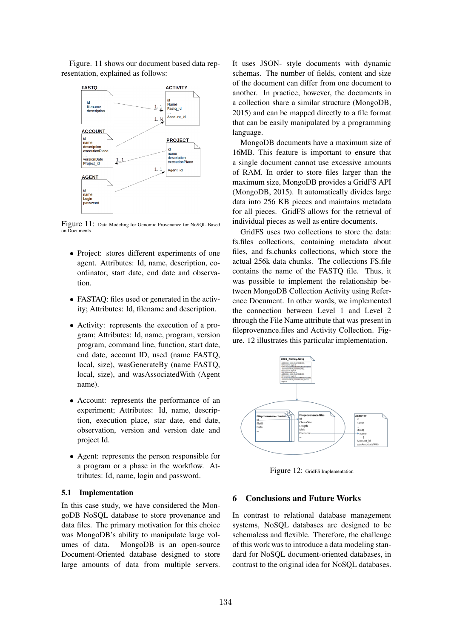Figure. 11 shows our document based data representation, explained as follows:



Figure 11: Data Modeling for Genomic Provenance for NoSQL Based on Documents.

- Project: stores different experiments of one agent. Attributes: Id, name, description, coordinator, start date, end date and observation.
- FASTAQ: files used or generated in the activity; Attributes: Id, filename and description.
- Activity: represents the execution of a program; Attributes: Id, name, program, version program, command line, function, start date, end date, account ID, used (name FASTQ, local, size), wasGenerateBy (name FASTQ, local, size), and wasAssociatedWith (Agent name).
- *•* Account: represents the performance of an experiment; Attributes: Id, name, description, execution place, star date, end date, observation, version and version date and project Id.
- Agent: represents the person responsible for a program or a phase in the workflow. Attributes: Id, name, login and password.

#### 5.1 Implementation

In this case study, we have considered the MongoDB NoSQL database to store provenance and data files. The primary motivation for this choice was MongoDB's ability to manipulate large volumes of data. MongoDB is an open-source Document-Oriented database designed to store large amounts of data from multiple servers. It uses JSON- style documents with dynamic schemas. The number of fields, content and size of the document can differ from one document to another. In practice, however, the documents in a collection share a similar structure (MongoDB, 2015) and can be mapped directly to a file format that can be easily manipulated by a programming language.

MongoDB documents have a maximum size of 16MB. This feature is important to ensure that a single document cannot use excessive amounts of RAM. In order to store files larger than the maximum size, MongoDB provides a GridFS API (MongoDB, 2015). It automatically divides large data into 256 KB pieces and maintains metadata for all pieces. GridFS allows for the retrieval of individual pieces as well as entire documents.

GridFS uses two collections to store the data: fs.files collections, containing metadata about files, and fs.chunks collections, which store the actual 256k data chunks. The collections FS.file contains the name of the FASTQ file. Thus, it was possible to implement the relationship between MongoDB Collection Activity using Reference Document. In other words, we implemented the connection between Level 1 and Level 2 through the File Name attribute that was present in fileprovenance.files and Activity Collection. Figure. 12 illustrates this particular implementation.



Figure 12: GridFS Implementation

### 6 Conclusions and Future Works

In contrast to relational database management systems, NoSQL databases are designed to be schemaless and flexible. Therefore, the challenge of this work was to introduce a data modeling standard for NoSQL document-oriented databases, in contrast to the original idea for NoSQL databases.